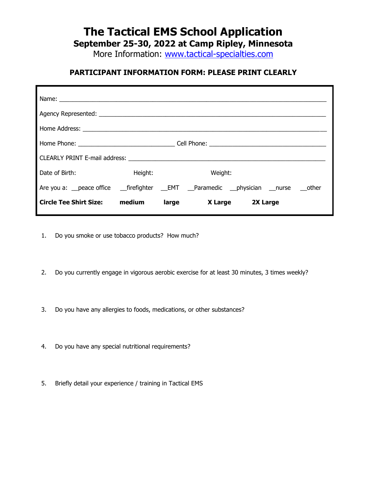# **The Tactical EMS School Application**

**September 25-30, 2022 at Camp Ripley, Minnesota**

More Information: [www.tactical-specialties.com](http://www.tactical-specialties.com/)

#### **PARTICIPANT INFORMATION FORM: PLEASE PRINT CLEARLY**

| Name: __________________________                                                            |         |       |         |                  |  |
|---------------------------------------------------------------------------------------------|---------|-------|---------|------------------|--|
|                                                                                             |         |       |         |                  |  |
|                                                                                             |         |       |         |                  |  |
|                                                                                             |         |       |         |                  |  |
| CLEARLY PRINT E-mail address:                                                               |         |       |         |                  |  |
| Date of Birth:                                                                              | Height: |       | Weight: |                  |  |
| Are you a: __peace office ___firefighter ___EMT ___Paramedic ___physician ___nurse ___other |         |       |         |                  |  |
| <b>Circle Tee Shirt Size:</b>                                                               | medium  | large |         | X Large 2X Large |  |

- 1. Do you smoke or use tobacco products? How much?
- 2. Do you currently engage in vigorous aerobic exercise for at least 30 minutes, 3 times weekly?
- 3. Do you have any allergies to foods, medications, or other substances?
- 4. Do you have any special nutritional requirements?
- 5. Briefly detail your experience / training in Tactical EMS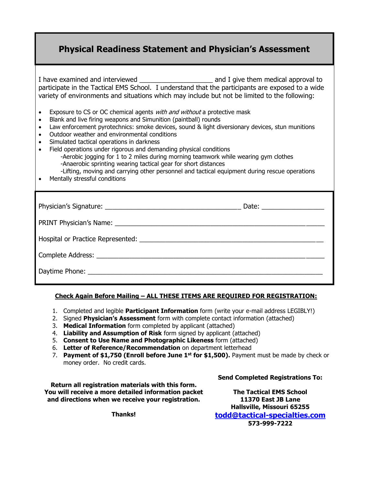## **Physical Readiness Statement and Physician's Assessment**

I have examined and interviewed \_\_\_\_\_\_\_\_\_\_\_\_\_\_\_\_\_\_\_\_ and I give them medical approval to participate in the Tactical EMS School. I understand that the participants are exposed to a wide variety of environments and situations which may include but not be limited to the following:

- Exposure to CS or OC chemical agents *with and without* a protective mask
- Blank and live firing weapons and Simunition (paintball) rounds
- Law enforcement pyrotechnics: smoke devices, sound & light diversionary devices, stun munitions
- Outdoor weather and environmental conditions
- Simulated tactical operations in darkness
- Field operations under rigorous and demanding physical conditions -Aerobic jogging for 1 to 2 miles during morning teamwork while wearing gym clothes -Anaerobic sprinting wearing tactical gear for short distances
	- -Lifting, moving and carrying other personnel and tactical equipment during rescue operations
- Mentally stressful conditions

#### **Check Again Before Mailing – ALL THESE ITEMS ARE REQUIRED FOR REGISTRATION:**

- 1. Completed and legible **Participant Information** form (write your e-mail address LEGIBLY!)
- 2. Signed **Physician's Assessment** form with complete contact information (attached)
- 3. **Medical Information** form completed by applicant (attached)
- 4. **Liability and Assumption of Risk** form signed by applicant (attached)
- 5. **Consent to Use Name and Photographic Likeness** form (attached)
- 6. **Letter of Reference/Recommendation** on department letterhead
- 7. **Payment of \$1,750 (Enroll before June 1st for \$1,500).** Payment must be made by check or money order. No credit cards.

**Return all registration materials with this form. You will receive a more detailed information packet and directions when we receive your registration.**

**Send Completed Registrations To:**

**The Tactical EMS School 11370 East JB Lane Hallsville, Missouri 65255 [todd@tactical-specialties.com](mailto:todd@tactical-specialties.com) 573-999-7222**

**Thanks!**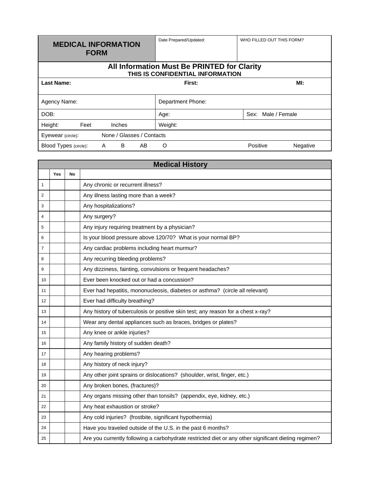| <b>MEDICAL INFORMATION</b><br><b>FORM</b>                                       |      | Date Prepared/Updated: | WHO FILLED OUT THIS FORM? |    |                   |                    |          |
|---------------------------------------------------------------------------------|------|------------------------|---------------------------|----|-------------------|--------------------|----------|
| All Information Must Be PRINTED for Clarity<br>THIS IS CONFIDENTIAL INFORMATION |      |                        |                           |    |                   |                    |          |
| <b>Last Name:</b>                                                               |      |                        |                           |    | First:            |                    | MI:      |
| Agency Name:                                                                    |      |                        |                           |    | Department Phone: |                    |          |
| DOB:                                                                            |      |                        |                           |    | Age:              | Sex: Male / Female |          |
| Height:                                                                         | Feet |                        | Inches                    |    | Weight:           |                    |          |
| None / Glasses / Contacts<br>Eyewear (circle):                                  |      |                        |                           |    |                   |                    |          |
| Blood Types (circle):                                                           |      | A                      | B                         | AB | O                 | Positive           | Negative |

п

|                | <b>Medical History</b> |    |                                                                                                      |  |  |  |
|----------------|------------------------|----|------------------------------------------------------------------------------------------------------|--|--|--|
|                | Yes                    | No |                                                                                                      |  |  |  |
| 1              |                        |    | Any chronic or recurrent illness?                                                                    |  |  |  |
| $\overline{2}$ |                        |    | Any illness lasting more than a week?                                                                |  |  |  |
| 3              |                        |    | Any hospitalizations?                                                                                |  |  |  |
| 4              |                        |    | Any surgery?                                                                                         |  |  |  |
| 5              |                        |    | Any injury requiring treatment by a physician?                                                       |  |  |  |
| 6              |                        |    | Is your blood pressure above 120/70? What is your normal BP?                                         |  |  |  |
| $\overline{7}$ |                        |    | Any cardiac problems including heart murmur?                                                         |  |  |  |
| 8              |                        |    | Any recurring bleeding problems?                                                                     |  |  |  |
| 9              |                        |    | Any dizziness, fainting, convulsions or frequent headaches?                                          |  |  |  |
| 10             |                        |    | Ever been knocked out or had a concussion?                                                           |  |  |  |
| 11             |                        |    | Ever had hepatitis, mononucleosis, diabetes or asthma? (circle all relevant)                         |  |  |  |
| 12             |                        |    | Ever had difficulty breathing?                                                                       |  |  |  |
| 13             |                        |    | Any history of tuberculosis or positive skin test; any reason for a chest x-ray?                     |  |  |  |
| 14             |                        |    | Wear any dental appliances such as braces, bridges or plates?                                        |  |  |  |
| 15             |                        |    | Any knee or ankle injuries?                                                                          |  |  |  |
| 16             |                        |    | Any family history of sudden death?                                                                  |  |  |  |
| 17             |                        |    | Any hearing problems?                                                                                |  |  |  |
| 18             |                        |    | Any history of neck injury?                                                                          |  |  |  |
| 19             |                        |    | Any other joint sprains or dislocations? (shoulder, wrist, finger, etc.)                             |  |  |  |
| 20             |                        |    | Any broken bones, (fractures)?                                                                       |  |  |  |
| 21             |                        |    | Any organs missing other than tonsils? (appendix, eye, kidney, etc.)                                 |  |  |  |
| 22             |                        |    | Any heat exhaustion or stroke?                                                                       |  |  |  |
| 23             |                        |    | Any cold injuries? (frostbite, significant hypothermia)                                              |  |  |  |
| 24             |                        |    | Have you traveled outside of the U.S. in the past 6 months?                                          |  |  |  |
| 25             |                        |    | Are you currently following a carbohydrate restricted diet or any other significant dieting regimen? |  |  |  |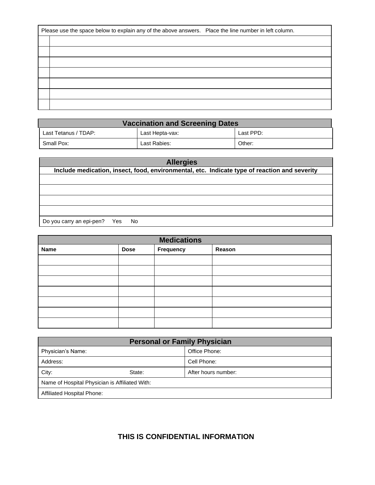| Please use the space below to explain any of the above answers. Place the line number in left column. |  |
|-------------------------------------------------------------------------------------------------------|--|
|                                                                                                       |  |
|                                                                                                       |  |
|                                                                                                       |  |
|                                                                                                       |  |
|                                                                                                       |  |
|                                                                                                       |  |
|                                                                                                       |  |

| <b>Vaccination and Screening Dates</b> |                 |           |  |  |  |
|----------------------------------------|-----------------|-----------|--|--|--|
| Last Tetanus / TDAP:                   | Last Hepta-vax: | Last PPD: |  |  |  |
| Small Pox:                             | Last Rabies:    | Other:    |  |  |  |

| <b>Allergies</b>                                                                             |  |  |
|----------------------------------------------------------------------------------------------|--|--|
| Include medication, insect, food, environmental, etc. Indicate type of reaction and severity |  |  |
|                                                                                              |  |  |
|                                                                                              |  |  |
|                                                                                              |  |  |
|                                                                                              |  |  |
| Do you carry an epi-pen? Yes<br>- No                                                         |  |  |

| <b>Medications</b> |             |           |        |  |
|--------------------|-------------|-----------|--------|--|
| <b>Name</b>        | <b>Dose</b> | Frequency | Reason |  |
|                    |             |           |        |  |
|                    |             |           |        |  |
|                    |             |           |        |  |
|                    |             |           |        |  |
|                    |             |           |        |  |
|                    |             |           |        |  |
|                    |             |           |        |  |

| <b>Personal or Family Physician</b>            |        |                     |  |
|------------------------------------------------|--------|---------------------|--|
| Physician's Name:                              |        | Office Phone:       |  |
| Address:                                       |        | Cell Phone:         |  |
| City:                                          | State: | After hours number: |  |
| Name of Hospital Physician is Affiliated With: |        |                     |  |
| Affiliated Hospital Phone:                     |        |                     |  |

## **THIS IS CONFIDENTIAL INFORMATION**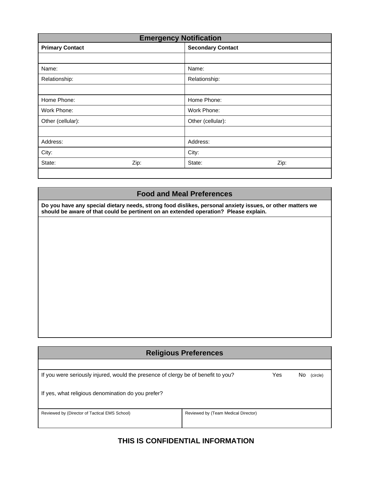| <b>Emergency Notification</b> |      |                          |      |
|-------------------------------|------|--------------------------|------|
| <b>Primary Contact</b>        |      | <b>Secondary Contact</b> |      |
|                               |      |                          |      |
| Name:                         |      | Name:                    |      |
| Relationship:                 |      | Relationship:            |      |
|                               |      |                          |      |
| Home Phone:                   |      | Home Phone:              |      |
| Work Phone:                   |      | Work Phone:              |      |
| Other (cellular):             |      | Other (cellular):        |      |
|                               |      |                          |      |
| Address:                      |      | Address:                 |      |
| City:                         |      | City:                    |      |
| State:                        | Zip: | State:                   | Zip: |

#### **Food and Meal Preferences**

**Do you have any special dietary needs, strong food dislikes, personal anxiety issues, or other matters we should be aware of that could be pertinent on an extended operation? Please explain.**

| <b>Religious Preferences</b>                                                      |                                     |     |    |          |
|-----------------------------------------------------------------------------------|-------------------------------------|-----|----|----------|
|                                                                                   |                                     |     |    |          |
| If you were seriously injured, would the presence of clergy be of benefit to you? |                                     | Yes | No | (circle) |
| If yes, what religious denomination do you prefer?                                |                                     |     |    |          |
| Reviewed by (Director of Tactical EMS School)                                     | Reviewed by (Team Medical Director) |     |    |          |
|                                                                                   |                                     |     |    |          |

### **THIS IS CONFIDENTIAL INFORMATION**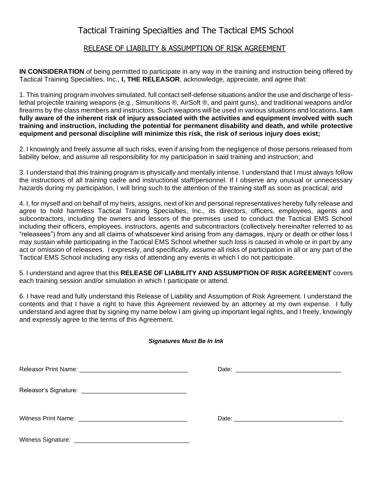## Tactical Training Specialties and The Tactical EMS School

#### RELEASE OF LIABILITY & ASSUMPTION OF RISK AGREEMENT

**IN CONSIDERATION** of being permitted to participate in any way in the training and instruction being offered by Tactical Training Specialties, Inc., **I, THE RELEASOR**, acknowledge, appreciate, and agree that:

1. This training program involves simulated, full contact self-defense situations and/or the use and discharge of lesslethal projectile training weapons (e.g., Simunitions ®, AirSoft ®, and paint guns), and traditional weapons and/or firearms by the class members and instructors. Such weapons will be used in various situations and locations**. I am fully aware of the inherent risk of injury associated with the activities and equipment involved with such training and instruction, including the potential for permanent disability and death, and while protective equipment and personal discipline will minimize this risk, the risk of serious injury does exist;**

2. I knowingly and freely assume all such risks, even if arising from the negligence of those persons released from liability below, and assume all responsibility for my participation in said training and instruction; and

3. I understand that this training program is physically and mentally intense. I understand that I must always follow the instructions of all training cadre and instructional staff/personnel. If I observe any unusual or unnecessary hazards during my participation, I will bring such to the attention of the training staff as soon as practical; and

4. I, for myself and on behalf of my heirs, assigns, next of kin and personal representatives hereby fully release and agree to hold harmless Tactical Training Specialties, Inc., its directors, officers, employees, agents and subcontractors, including the owners and lessors of the premises used to conduct the Tactical EMS School including their officers, employees, instructors, agents and subcontractors (collectively hereinafter referred to as "releasees") from any and all claims of whatsoever kind arising from any damages, injury or death or other loss I may sustain while participating in the Tactical EMS School whether such loss is caused in whole or in part by any act or omission of releasees. I expressly, and specifically, assume all risks of participation in all or any part of the Tactical EMS School including any risks of attending any events in which I do not participate.

5. I understand and agree that this **RELEASE OF LIABILITY AND ASSUMPTION OF RISK AGREEMENT** covers each training session and/or simulation in which I participate or attend.

6. I have read and fully understand this Release of Liability and Assumption of Risk Agreement. I understand the contents and that I have a right to have this Agreement reviewed by an attorney at my own expense. I fully understand and agree that by signing my name below I am giving up important legal rights, and I freely, knowingly and expressly agree to the terms of this Agreement.

#### *Signatures Must Be In Ink*